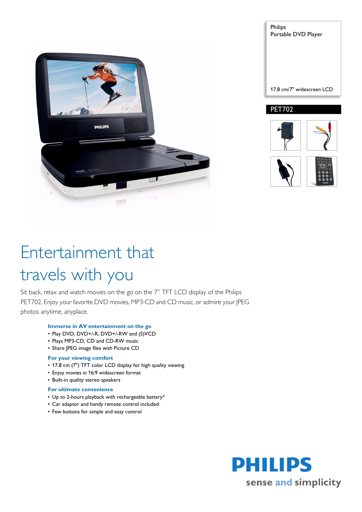

Philips Portable DVD Player 17.8 cm/7" widescreen LCD PET702



# Entertainment that travels with you

Sit back, relax and watch movies on the go on the 7" TFT LCD display of the Philips PET702. Enjoy your favorite DVD movies, MP3-CD and CD music, or admire your JPEG photos anytime, anyplace.

# **Immerse in AV entertainment on the go**

- Play DVD, DVD+/-R, DVD+/-RW and (S)VCD
- Plays MP3-CD, CD and CD-RW music
- Share JPEG image files with Picture CD

# **For your viewing comfort**

- 17.8 cm (7") TFT color LCD display for high quality viewing
- Enjoy movies in 16:9 widescreen format
- Built-in quality stereo speakers

# **For ultimate convenience**

- Up to 2-hours playback with rechargeable battery\*
- Car adaptor and handy remote control included
- Few buttons for simple and easy control